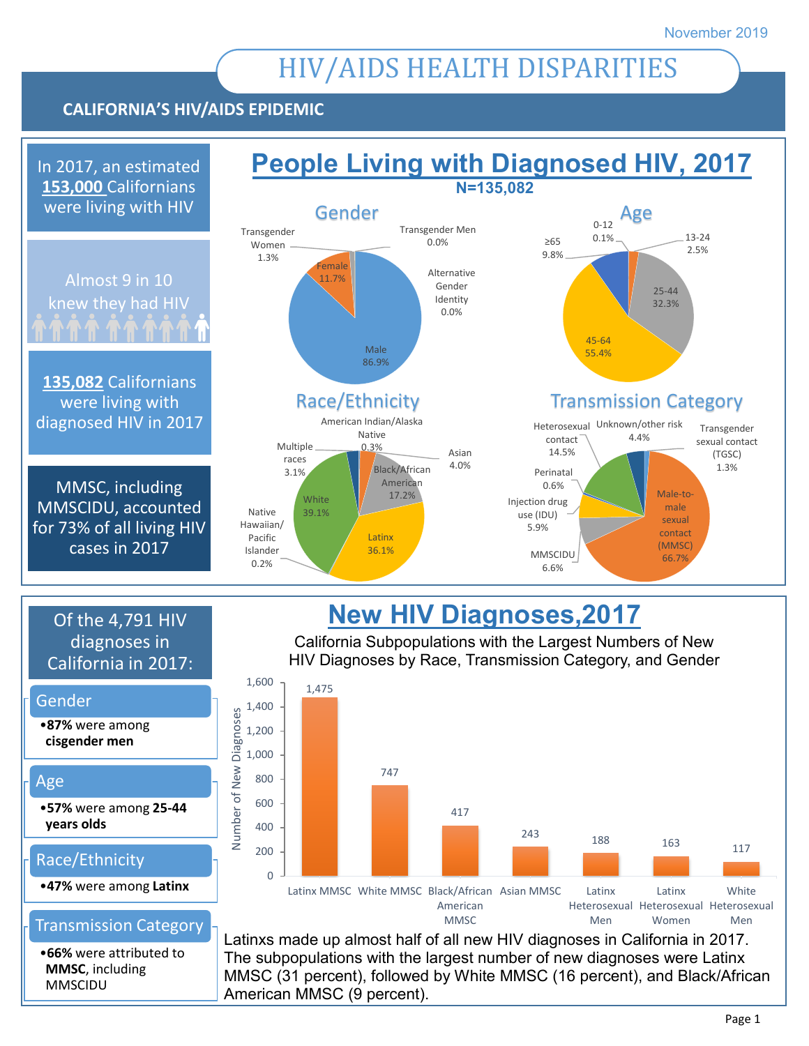# HIV/AIDS HEALTH DISPARITIES

### **CALIFORNIA'S HIV/AIDS EPIDEMIC**

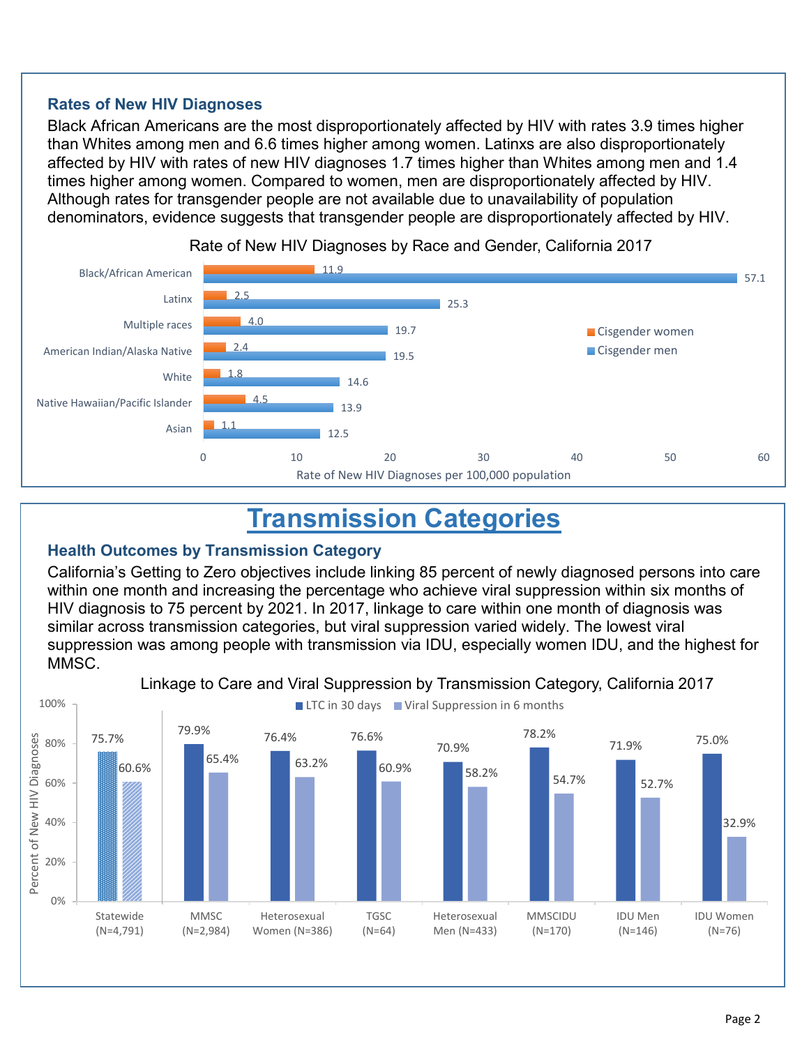#### **Rates of New HIV Diagnoses**

Black African Americans are the most disproportionately affected by HIV with rates 3.9 times higher than Whites among men and 6.6 times higher among women. Latinxs are also disproportionately affected by HIV with rates of new HIV diagnoses 1.7 times higher than Whites among men and 1.4 times higher among women. Compared to women, men are disproportionately affected by HIV. Although rates for transgender people are not available due to unavailability of population denominators, evidence suggests that transgender people are disproportionately affected by HIV.



Rate of New HIV Diagnoses by Race and Gender, California 2017

## **Transmission Categories**

#### **Health Outcomes by Transmission Category**

California's Getting to Zero objectives include linking 85 percent of newly diagnosed persons into care within one month and increasing the percentage who achieve viral suppression within six months of HIV diagnosis to 75 percent by 2021. In 2017, linkage to care within one month of diagnosis was similar across transmission categories, but viral suppression varied widely. The lowest viral suppression was among people with transmission via IDU, especially women IDU, and the highest for MMSC.



Linkage to Care and Viral Suppression by Transmission Category, California 2017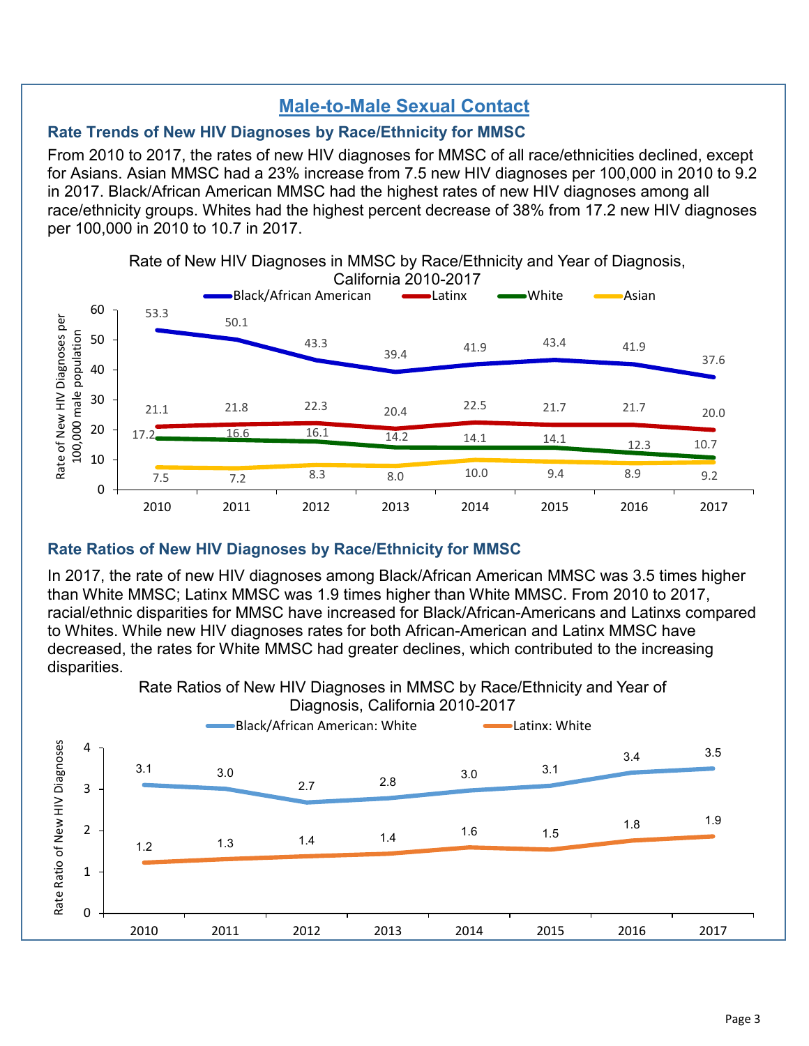## **Male-to-Male Sexual Contact**

#### **Rate Trends of New HIV Diagnoses by Race/Ethnicity for MMSC**

From 2010 to 2017, the rates of new HIV diagnoses for MMSC of all race/ethnicities declined, except for Asians. Asian MMSC had a 23% increase from 7.5 new HIV diagnoses per 100,000 in 2010 to 9.2 in 2017. Black/African American MMSC had the highest rates of new HIV diagnoses among all race/ethnicity groups. Whites had the highest percent decrease of 38% from 17.2 new HIV diagnoses per 100,000 in 2010 to 10.7 in 2017.



#### **Rate Ratios of New HIV Diagnoses by Race/Ethnicity for MMSC**

In 2017, the rate of new HIV diagnoses among Black/African American MMSC was 3.5 times higher than White MMSC; Latinx MMSC was 1.9 times higher than White MMSC. From 2010 to 2017, racial/ethnic disparities for MMSC have increased for Black/African-Americans and Latinxs compared to Whites. While new HIV diagnoses rates for both African-American and Latinx MMSC have decreased, the rates for White MMSC had greater declines, which contributed to the increasing disparities.

> Rate Ratios of New HIV Diagnoses in MMSC by Race/Ethnicity and Year of Diagnosis, California 2010-2017

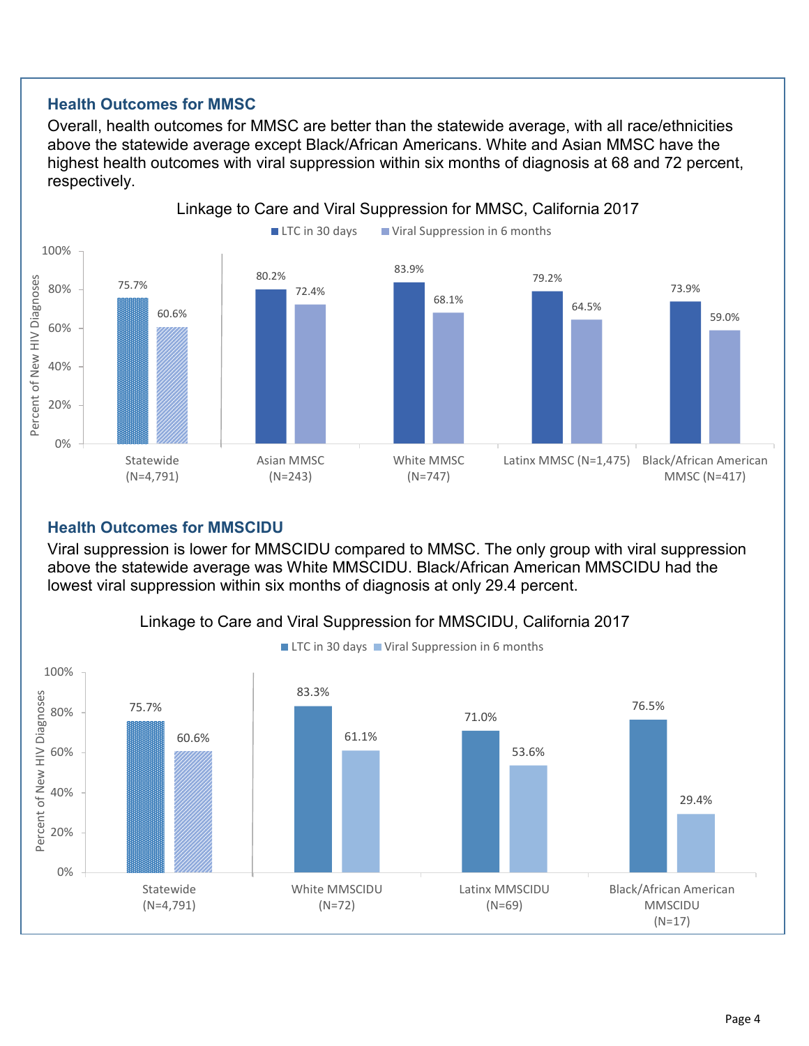#### **Health Outcomes for MMSC**

Overall, health outcomes for MMSC are better than the statewide average, with all race/ethnicities above the statewide average except Black/African Americans. White and Asian MMSC have the highest health outcomes with viral suppression within six months of diagnosis at 68 and 72 percent, respectively.



#### **Health Outcomes for MMSCIDU**

Viral suppression is lower for MMSCIDU compared to MMSC. The only group with viral suppression above the statewide average was White MMSCIDU. Black/African American MMSCIDU had the lowest viral suppression within six months of diagnosis at only 29.4 percent.



### Linkage to Care and Viral Suppression for MMSCIDU, California 2017

Page 4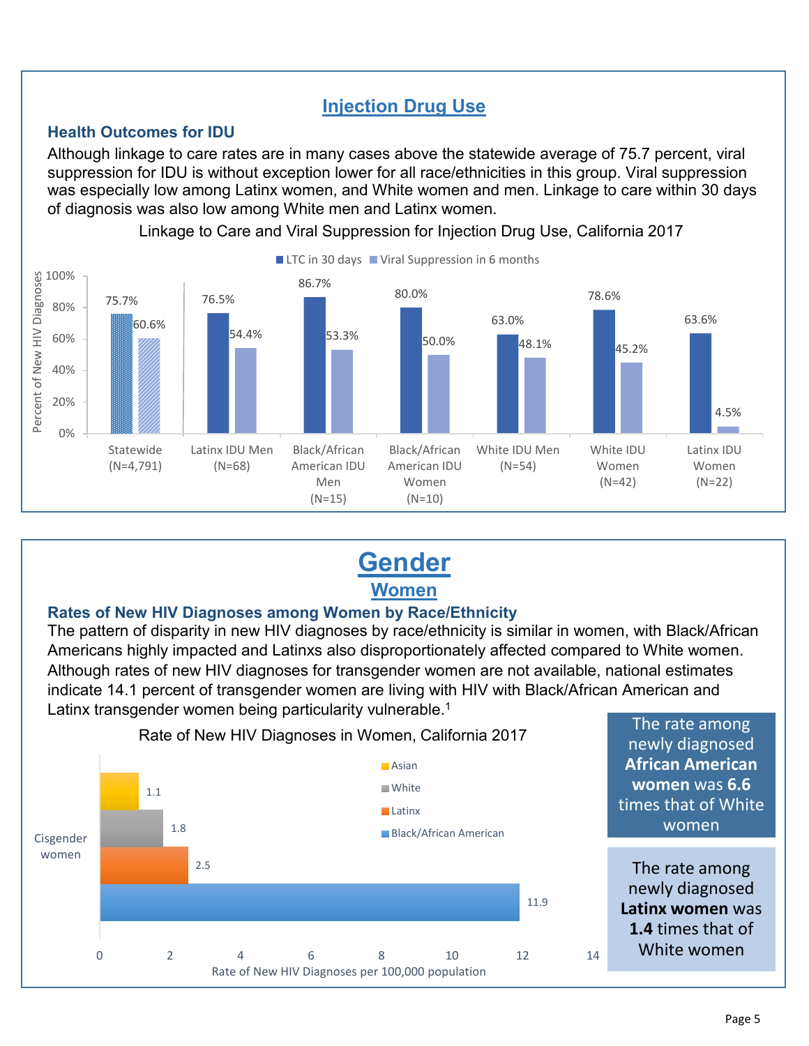## **Injection Drug Use**

#### **Health Outcomes for IDU**

Although linkage to care rates are in many cases above the statewide average of 75.7 percent, viral suppression for IDU is without exception lower for all race/ethnicities in this group. Viral suppression was especially low among Latinx women, and White women and men. Linkage to care within 30 days of diagnosis was also low among White men and Latinx women.



Linkage to Care and Viral Suppression for Injection Drug Use, California 2017

## **Gender Women**

#### **Rates of New HIV Diagnoses among Women by Race/Ethnicity**

The pattern of disparity in new HIV diagnoses by race/ethnicity is similar in women, with Black/African Americans highly impacted and Latinxs also disproportionately affected compared to White women. Although rates of new HIV diagnoses for transgender women are not available, national estimates indicate 14.1 percent of transgender women are living with HIV with Black/African American and Latinx transgender women being particularity vulnerable. [1](#page-13-0)

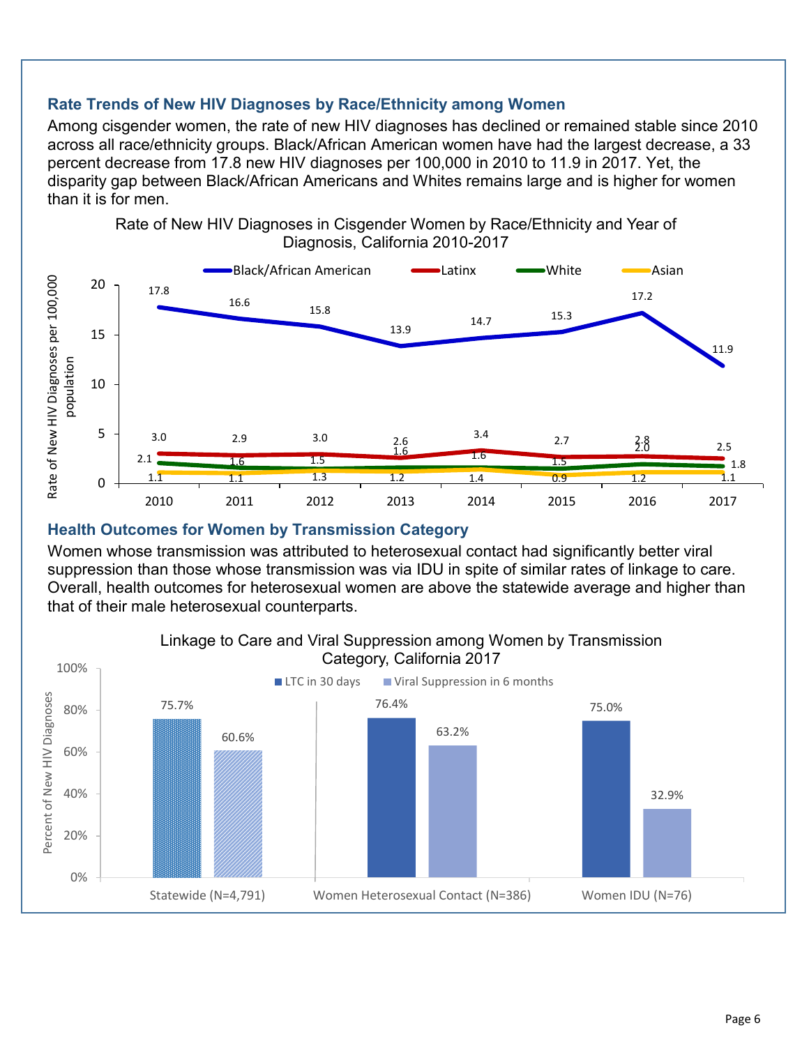#### **Rate Trends of New HIV Diagnoses by Race/Ethnicity among Women**

Among cisgender women, the rate of new HIV diagnoses has declined or remained stable since 2010 across all race/ethnicity groups. Black/African American women have had the largest decrease, a 33 percent decrease from 17.8 new HIV diagnoses per 100,000 in 2010 to 11.9 in 2017. Yet, the disparity gap between Black/African Americans and Whites remains large and is higher for women than it is for men.



#### **Health Outcomes for Women by Transmission Category**

Women whose transmission was attributed to heterosexual contact had significantly better viral suppression than those whose transmission was via IDU in spite of similar rates of linkage to care. Overall, health outcomes for heterosexual women are above the statewide average and higher than that of their male heterosexual counterparts.

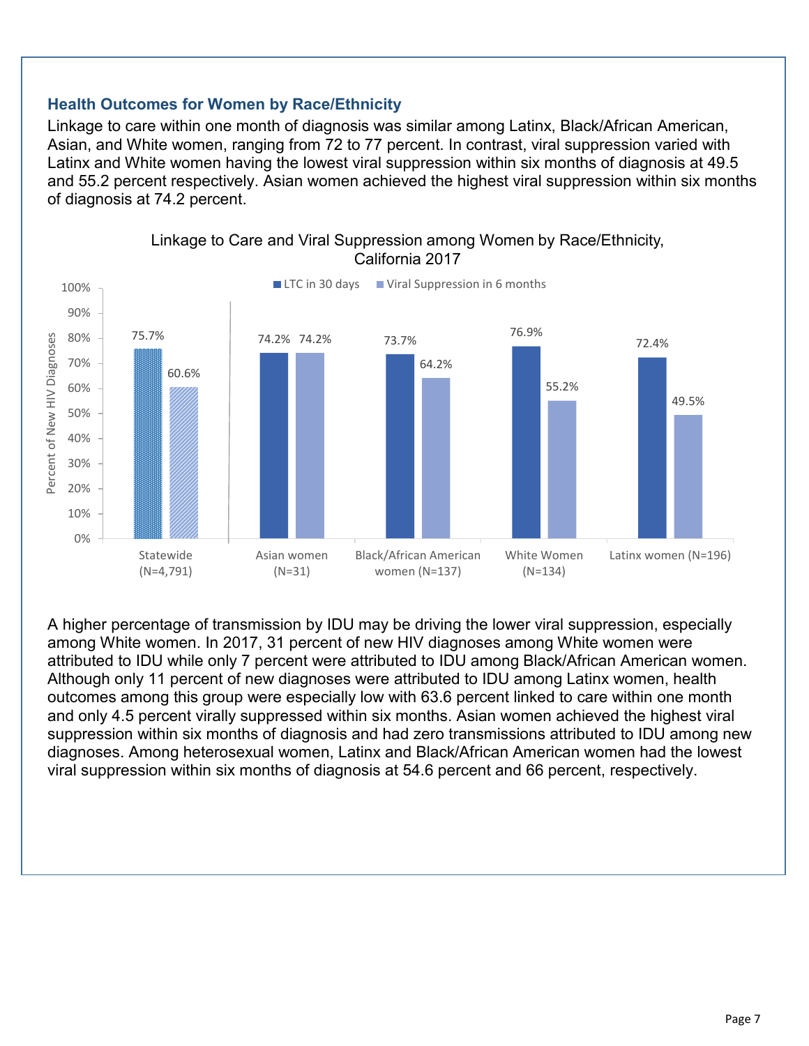#### **Health Outcomes for Women by Race/Ethnicity**

Linkage to care within one month of diagnosis was similar among Latinx, Black/African American, Asian, and White women, ranging from 72 to 77 percent. In contrast, viral suppression varied with Latinx and White women having the lowest viral suppression within six months of diagnosis at 49.5 and 55.2 percent respectively. Asian women achieved the highest viral suppression within six months of diagnosis at 74.2 percent.



Linkage to Care and Viral Suppression among Women by Race/Ethnicity, California 2017

A higher percentage of transmission by IDU may be driving the lower viral suppression, especially among White women. In 2017, 31 percent of new HIV diagnoses among White women were attributed to IDU while only 7 percent were attributed to IDU among Black/African American women. Although only 11 percent of new diagnoses were attributed to IDU among Latinx women, health outcomes among this group were especially low with 63.6 percent linked to care within one month and only 4.5 percent virally suppressed within six months. Asian women achieved the highest viral suppression within six months of diagnosis and had zero transmissions attributed to IDU among new diagnoses. Among heterosexual women, Latinx and Black/African American women had the lowest viral suppression within six months of diagnosis at 54.6 percent and 66 percent, respectively.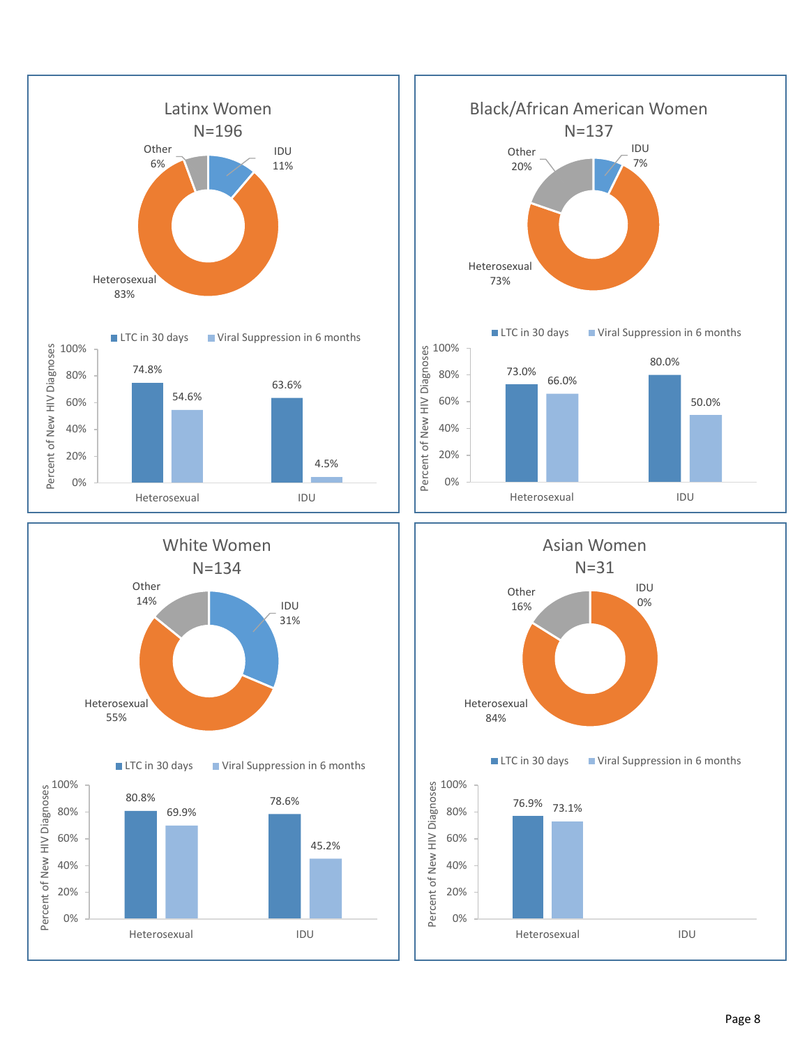



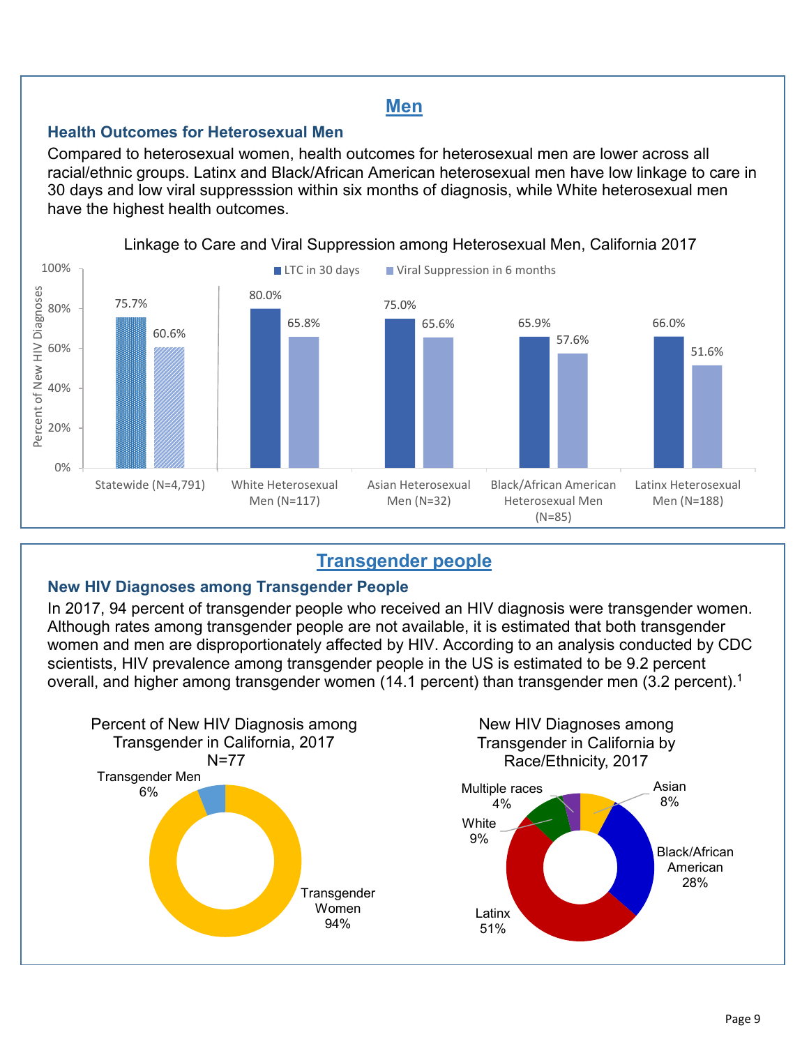### **Men**

#### **Health Outcomes for Heterosexual Men**

Compared to heterosexual women, health outcomes for heterosexual men are lower across all racial/ethnic groups. Latinx and Black/African American heterosexual men have low linkage to care in 30 days and low viral suppresssion within six months of diagnosis, while White heterosexual men have the highest health outcomes.



#### Linkage to Care and Viral Suppression among Heterosexual Men, California 2017

## **Transgender people**

#### **New HIV Diagnoses among Transgender People**

In 2017, 94 percent of transgender people who received an HIV diagnosis were transgender women. Although rates among transgender people are not available, it is estimated that both transgender women and men are disproportionately affected by HIV. According to an analysis conducted by CDC scientists, HIV prevalence among transgender people in the US is estimated to be 9.2 percent overall, and higher among transgender women ([1](#page-13-0)4.1 percent) than transgender men (3.2 percent). $^{\rm 1}$ 

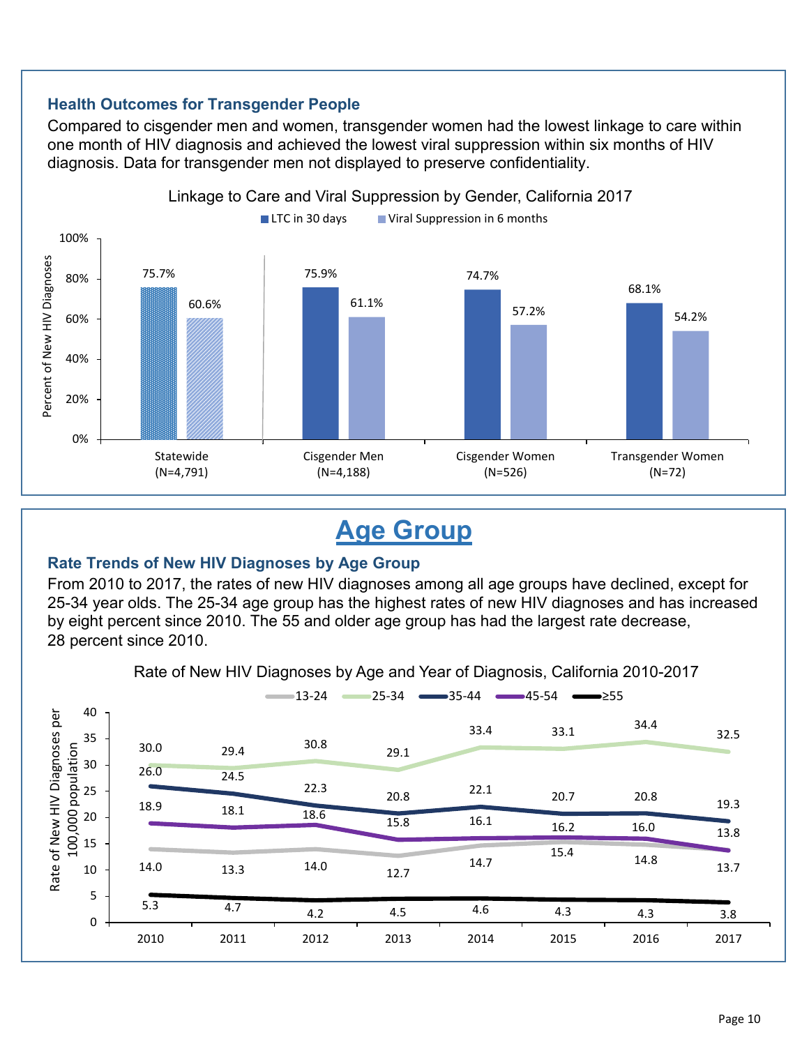#### **Health Outcomes for Transgender People**

Compared to cisgender men and women, transgender women had the lowest linkage to care within one month of HIV diagnosis and achieved the lowest viral suppression within six months of HIV diagnosis. Data for transgender men not displayed to preserve confidentiality.



## **Age Group**

#### **Rate Trends of New HIV Diagnoses by Age Group**

From 2010 to 2017, the rates of new HIV diagnoses among all age groups have declined, except for 25-34 year olds. The 25-34 age group has the highest rates of new HIV diagnoses and has increased by eight percent since 2010. The 55 and older age group has had the largest rate decrease, 28 percent since 2010.

Rate of New HIV Diagnoses by Age and Year of Diagnosis, California 2010-2017

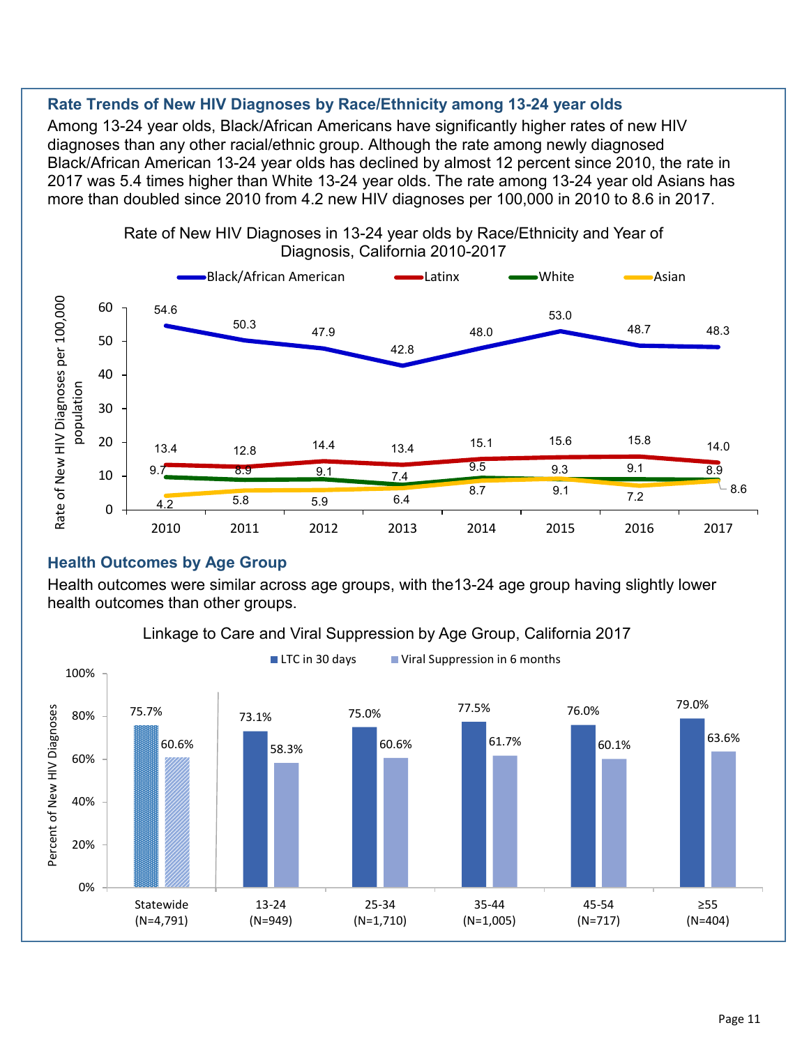#### **Rate Trends of New HIV Diagnoses by Race/Ethnicity among 13-24 year olds**

Among 13-24 year olds, Black/African Americans have significantly higher rates of new HIV diagnoses than any other racial/ethnic group. Although the rate among newly diagnosed Black/African American 13-24 year olds has declined by almost 12 percent since 2010, the rate in 2017 was 5.4 times higher than White 13-24 year olds. The rate among 13-24 year old Asians has more than doubled since 2010 from 4.2 new HIV diagnoses per 100,000 in 2010 to 8.6 in 2017.



#### **Health Outcomes by Age Group**

Health outcomes were similar across age groups, with the13-24 age group having slightly lower health outcomes than other groups.



#### Linkage to Care and Viral Suppression by Age Group, California 2017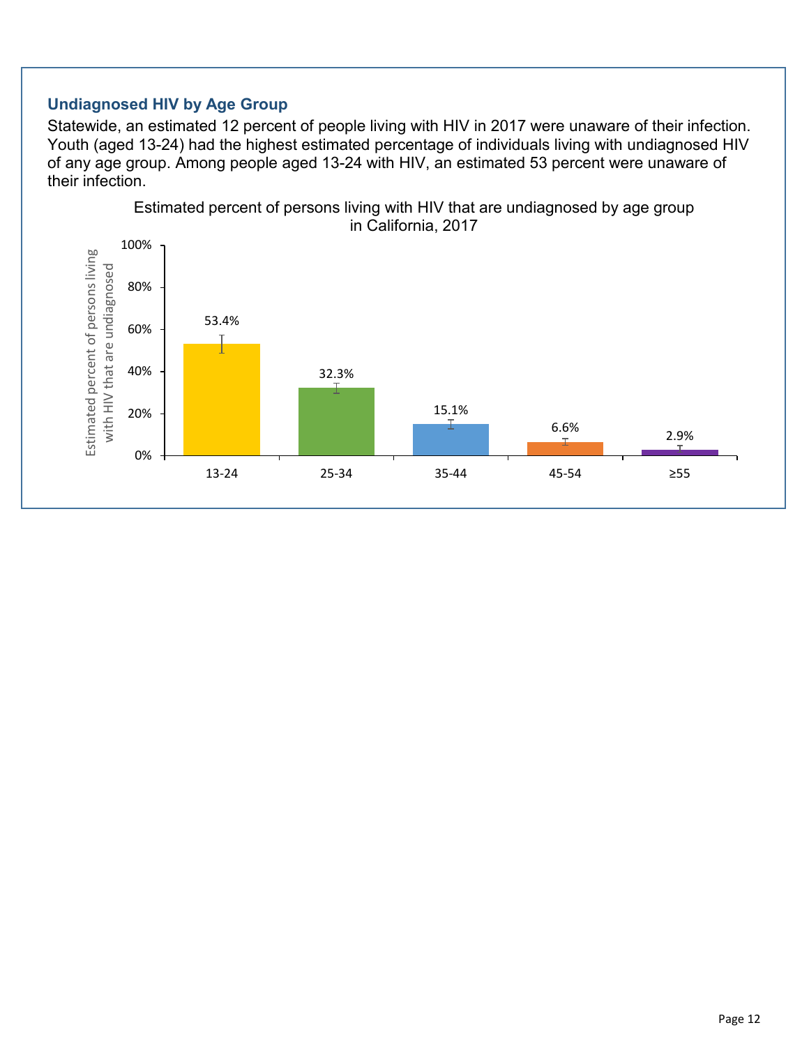#### **Undiagnosed HIV by Age Group**

Statewide, an estimated 12 percent of people living with HIV in 2017 were unaware of their infection. Youth (aged 13-24) had the highest estimated percentage of individuals living with undiagnosed HIV of any age group. Among people aged 13-24 with HIV, an estimated 53 percent were unaware of their infection.

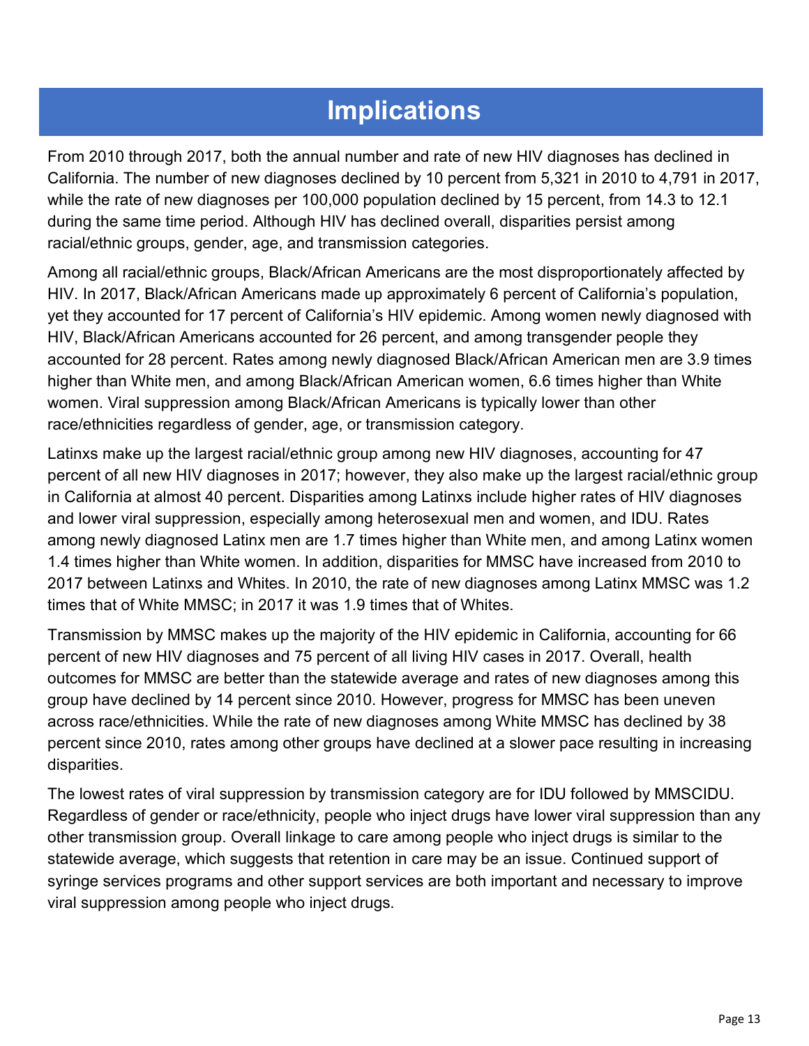## **Implications**

From 2010 through 2017, both the annual number and rate of new HIV diagnoses has declined in California. The number of new diagnoses declined by 10 percent from 5,321 in 2010 to 4,791 in 2017, while the rate of new diagnoses per 100,000 population declined by 15 percent, from 14.3 to 12.1 during the same time period. Although HIV has declined overall, disparities persist among racial/ethnic groups, gender, age, and transmission categories.

Among all racial/ethnic groups, Black/African Americans are the most disproportionately affected by HIV. In 2017, Black/African Americans made up approximately 6 percent of California's population, yet they accounted for 17 percent of California's HIV epidemic. Among women newly diagnosed with HIV, Black/African Americans accounted for 26 percent, and among transgender people they accounted for 28 percent. Rates among newly diagnosed Black/African American men are 3.9 times higher than White men, and among Black/African American women, 6.6 times higher than White women. Viral suppression among Black/African Americans is typically lower than other race/ethnicities regardless of gender, age, or transmission category.

Latinxs make up the largest racial/ethnic group among new HIV diagnoses, accounting for 47 percent of all new HIV diagnoses in 2017; however, they also make up the largest racial/ethnic group in California at almost 40 percent. Disparities among Latinxs include higher rates of HIV diagnoses and lower viral suppression, especially among heterosexual men and women, and IDU. Rates among newly diagnosed Latinx men are 1.7 times higher than White men, and among Latinx women 1.4 times higher than White women. In addition, disparities for MMSC have increased from 2010 to 2017 between Latinxs and Whites. In 2010, the rate of new diagnoses among Latinx MMSC was 1.2 times that of White MMSC; in 2017 it was 1.9 times that of Whites.

Transmission by MMSC makes up the majority of the HIV epidemic in California, accounting for 66 percent of new HIV diagnoses and 75 percent of all living HIV cases in 2017. Overall, health outcomes for MMSC are better than the statewide average and rates of new diagnoses among this group have declined by 14 percent since 2010. However, progress for MMSC has been uneven across race/ethnicities. While the rate of new diagnoses among White MMSC has declined by 38 percent since 2010, rates among other groups have declined at a slower pace resulting in increasing disparities.

The lowest rates of viral suppression by transmission category are for IDU followed by MMSCIDU. Regardless of gender or race/ethnicity, people who inject drugs have lower viral suppression than any other transmission group. Overall linkage to care among people who inject drugs is similar to the statewide average, which suggests that retention in care may be an issue. Continued support of syringe services programs and other support services are both important and necessary to improve viral suppression among people who inject drugs.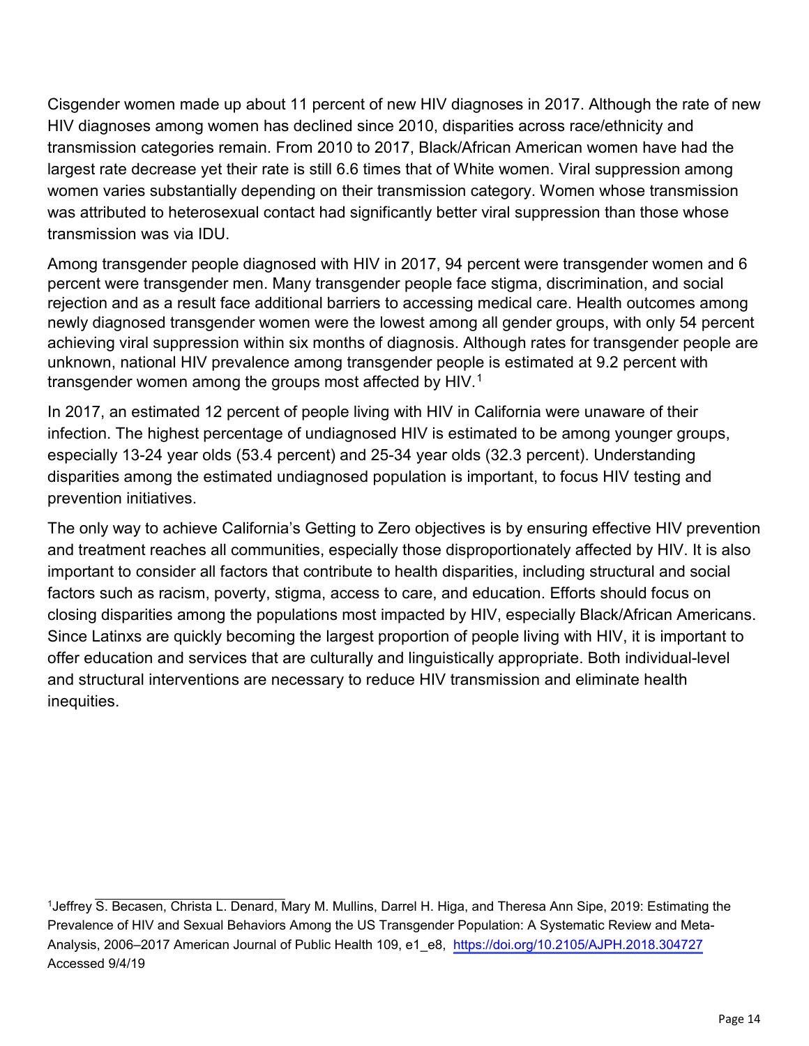Cisgender women made up about 11 percent of new HIV diagnoses in 2017. Although the rate of new HIV diagnoses among women has declined since 2010, disparities across race/ethnicity and transmission categories remain. From 2010 to 2017, Black/African American women have had the largest rate decrease yet their rate is still 6.6 times that of White women. Viral suppression among women varies substantially depending on their transmission category. Women whose transmission was attributed to heterosexual contact had significantly better viral suppression than those whose transmission was via IDU.

Among transgender people diagnosed with HIV in 2017, 94 percent were transgender women and 6 percent were transgender men. Many transgender people face stigma, discrimination, and social rejection and as a result face additional barriers to accessing medical care. Health outcomes among newly diagnosed transgender women were the lowest among all gender groups, with only 54 percent achieving viral suppression within six months of diagnosis. Although rates for transgender people are unknown, national HIV prevalence among transgender people is estimated at 9.2 percent with transgender women among the groups most affected by HIV.[1](#page-13-1)

<span id="page-13-0"></span>In 2017, an estimated 12 percent of people living with HIV in California were unaware of their infection. The highest percentage of undiagnosed HIV is estimated to be among younger groups, especially 13-24 year olds (53.4 percent) and 25-34 year olds (32.3 percent). Understanding disparities among the estimated undiagnosed population is important, to focus HIV testing and prevention initiatives.

The only way to achieve California's Getting to Zero objectives is by ensuring effective HIV prevention and treatment reaches all communities, especially those disproportionately affected by HIV. It is also important to consider all factors that contribute to health disparities, including structural and social factors such as racism, poverty, stigma, access to care, and education. Efforts should focus on closing disparities among the populations most impacted by HIV, especially Black/African Americans. Since Latinxs are quickly becoming the largest proportion of people living with HIV, it is important to offer education and services that are culturally and linguistically appropriate. Both individual-level and structural interventions are necessary to reduce HIV transmission and eliminate health inequities.

<span id="page-13-1"></span><sup>1</sup>Jeffrey S. Becasen, Christa L. Denard, Mary M. Mullins, Darrel H. Higa, and Theresa Ann Sipe, 2019: Estimating the Prevalence of HIV and Sexual Behaviors Among the US Transgender Population: A Systematic Review and Meta-Analysis, 2006–2017 American Journal of Public Health 109, e1\_e8, [https://doi.org/10.2105/AJPH.2018.304727](https://ajph.aphapublications.org/doi/10.2105/AJPH.2018.304727) Accessed 9/4/19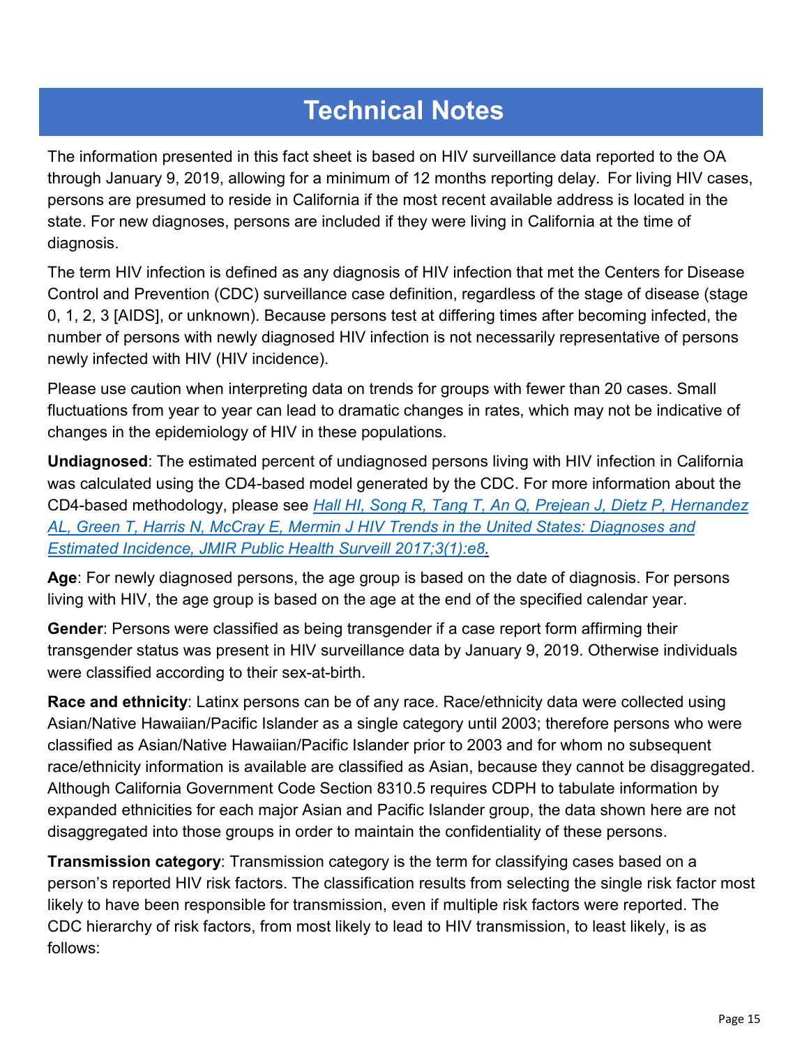## **Technical Notes**

The information presented in this fact sheet is based on HIV surveillance data reported to the OA through January 9, 2019, allowing for a minimum of 12 months reporting delay. For living HIV cases, persons are presumed to reside in California if the most recent available address is located in the state. For new diagnoses, persons are included if they were living in California at the time of diagnosis.

The term HIV infection is defined as any diagnosis of HIV infection that met the Centers for Disease Control and Prevention (CDC) surveillance case definition, regardless of the stage of disease (stage 0, 1, 2, 3 [AIDS], or unknown). Because persons test at differing times after becoming infected, the number of persons with newly diagnosed HIV infection is not necessarily representative of persons newly infected with HIV (HIV incidence).

Please use caution when interpreting data on trends for groups with fewer than 20 cases. Small fluctuations from year to year can lead to dramatic changes in rates, which may not be indicative of changes in the epidemiology of HIV in these populations.

**Undiagnosed**: The estimated percent of undiagnosed persons living with HIV infection in California was calculated using the CD4-based model generated by the CDC. For more information about the CD4-based methodology, please see *[Hall HI, Song R, Tang T, An Q, Prejean J, Dietz P, Hernandez](https://publichealth.jmir.org/2017/1/e8/) [AL, Green T, Harris N, McCray E, Mermin J HIV Trends in the United States: Diagnoses and](https://publichealth.jmir.org/2017/1/e8/)  [Estimated Incidence, JMIR Public Health Surveill 2017;3\(1\):e8.](https://publichealth.jmir.org/2017/1/e8/)*

**Age**: For newly diagnosed persons, the age group is based on the date of diagnosis. For persons living with HIV, the age group is based on the age at the end of the specified calendar year.

**Gender**: Persons were classified as being transgender if a case report form affirming their transgender status was present in HIV surveillance data by January 9, 2019. Otherwise individuals were classified according to their sex-at-birth.

**Race and ethnicity**: Latinx persons can be of any race. Race/ethnicity data were collected using Asian/Native Hawaiian/Pacific Islander as a single category until 2003; therefore persons who were classified as Asian/Native Hawaiian/Pacific Islander prior to 2003 and for whom no subsequent race/ethnicity information is available are classified as Asian, because they cannot be disaggregated. Although California Government Code Section 8310.5 requires CDPH to tabulate information by expanded ethnicities for each major Asian and Pacific Islander group, the data shown here are not disaggregated into those groups in order to maintain the confidentiality of these persons.

**Transmission category**: Transmission category is the term for classifying cases based on a person's reported HIV risk factors. The classification results from selecting the single risk factor most likely to have been responsible for transmission, even if multiple risk factors were reported. The CDC hierarchy of risk factors, from most likely to lead to HIV transmission, to least likely, is as follows: